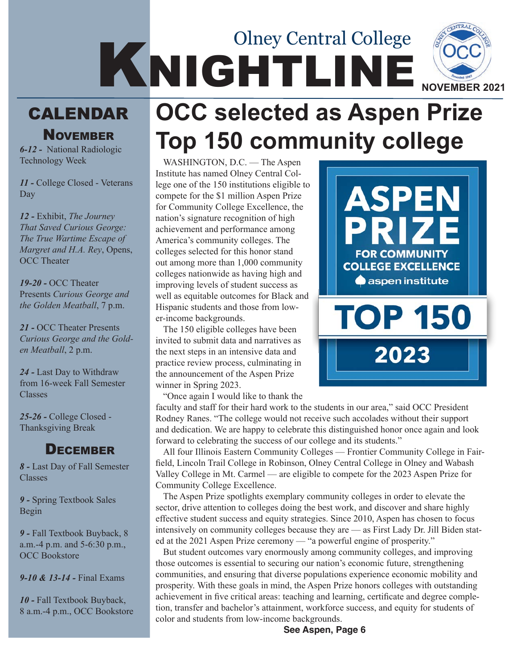# NCHILINE NOCCH Olney Central College

## **CALENDAR**

**NOVEMBER** 

*6-12 -* National Radiologic Technology Week

*11 -* College Closed - Veterans Day

*12 -* Exhibit, *The Journey That Saved Curious George: The True Wartime Escape of Margret and H.A. Rey*, Opens, OCC Theater

*19-20 -* OCC Theater Presents *Curious George and the Golden Meatball*, 7 p.m.

*21 -* OCC Theater Presents *Curious George and the Golden Meatball*, 2 p.m.

*24 -* Last Day to Withdraw from 16-week Fall Semester Classes

*25-26 -* College Closed - Thanksgiving Break

#### **DECEMBER**

*8 -* Last Day of Fall Semester Classes

*9 -* Spring Textbook Sales Begin

*9 -* Fall Textbook Buyback, 8 a.m.-4 p.m. and 5-6:30 p.m., OCC Bookstore

*9-10 & 13-14 -* Final Exams

*10 -* Fall Textbook Buyback, 8 a.m.-4 p.m., OCC Bookstore

## **OCC selected as Aspen Prize Top 150 community college**

WASHINGTON, D.C. — The Aspen Institute has named Olney Central College one of the 150 institutions eligible to compete for the \$1 million Aspen Prize for Community College Excellence, the nation's signature recognition of high achievement and performance among America's community colleges. The colleges selected for this honor stand out among more than 1,000 community colleges nationwide as having high and improving levels of student success as well as equitable outcomes for Black and Hispanic students and those from lower-income backgrounds.

The 150 eligible colleges have been invited to submit data and narratives as the next steps in an intensive data and practice review process, culminating in the announcement of the Aspen Prize winner in Spring 2023.

"Once again I would like to thank the

faculty and staff for their hard work to the students in our area," said OCC President Rodney Ranes. "The college would not receive such accolades without their support and dedication. We are happy to celebrate this distinguished honor once again and look forward to celebrating the success of our college and its students."

All four Illinois Eastern Community Colleges — Frontier Community College in Fairfield, Lincoln Trail College in Robinson, Olney Central College in Olney and Wabash Valley College in Mt. Carmel — are eligible to compete for the 2023 Aspen Prize for Community College Excellence.

The Aspen Prize spotlights exemplary community colleges in order to elevate the sector, drive attention to colleges doing the best work, and discover and share highly effective student success and equity strategies. Since 2010, Aspen has chosen to focus intensively on community colleges because they are — as First Lady Dr. Jill Biden stated at the 2021 Aspen Prize ceremony — "a powerful engine of prosperity."

But student outcomes vary enormously among community colleges, and improving those outcomes is essential to securing our nation's economic future, strengthening communities, and ensuring that diverse populations experience economic mobility and prosperity. With these goals in mind, the Aspen Prize honors colleges with outstanding achievement in five critical areas: teaching and learning, certificate and degree completion, transfer and bachelor's attainment, workforce success, and equity for students of color and students from low-income backgrounds.

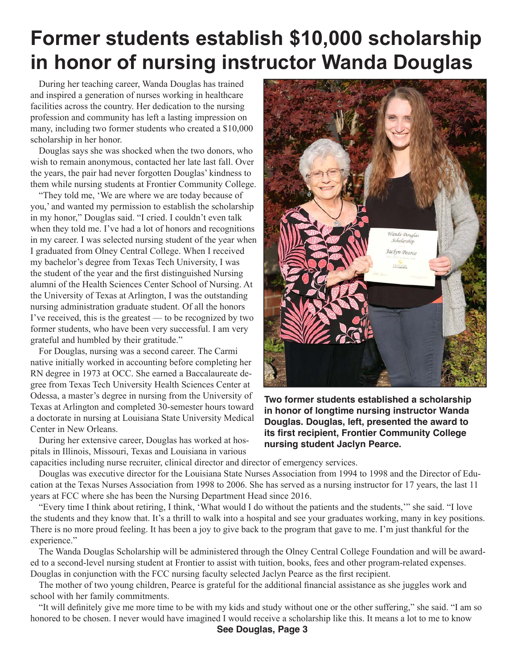## **Former students establish \$10,000 scholarship in honor of nursing instructor Wanda Douglas**

During her teaching career, Wanda Douglas has trained and inspired a generation of nurses working in healthcare facilities across the country. Her dedication to the nursing profession and community has left a lasting impression on many, including two former students who created a \$10,000 scholarship in her honor.

Douglas says she was shocked when the two donors, who wish to remain anonymous, contacted her late last fall. Over the years, the pair had never forgotten Douglas' kindness to them while nursing students at Frontier Community College.

"They told me, 'We are where we are today because of you,' and wanted my permission to establish the scholarship in my honor," Douglas said. "I cried. I couldn't even talk when they told me. I've had a lot of honors and recognitions in my career. I was selected nursing student of the year when I graduated from Olney Central College. When I received my bachelor's degree from Texas Tech University, I was the student of the year and the first distinguished Nursing alumni of the Health Sciences Center School of Nursing. At the University of Texas at Arlington, I was the outstanding nursing administration graduate student. Of all the honors I've received, this is the greatest — to be recognized by two former students, who have been very successful. I am very grateful and humbled by their gratitude."

For Douglas, nursing was a second career. The Carmi native initially worked in accounting before completing her RN degree in 1973 at OCC. She earned a Baccalaureate degree from Texas Tech University Health Sciences Center at Odessa, a master's degree in nursing from the University of Texas at Arlington and completed 30-semester hours toward a doctorate in nursing at Louisiana State University Medical Center in New Orleans.

During her extensive career, Douglas has worked at hospitals in Illinois, Missouri, Texas and Louisiana in various



**Two former students established a scholarship in honor of longtime nursing instructor Wanda Douglas. Douglas, left, presented the award to its first recipient, Frontier Community College nursing student Jaclyn Pearce.**

capacities including nurse recruiter, clinical director and director of emergency services.

Douglas was executive director for the Louisiana State Nurses Association from 1994 to 1998 and the Director of Education at the Texas Nurses Association from 1998 to 2006. She has served as a nursing instructor for 17 years, the last 11 years at FCC where she has been the Nursing Department Head since 2016.

"Every time I think about retiring, I think, 'What would I do without the patients and the students,'" she said. "I love the students and they know that. It's a thrill to walk into a hospital and see your graduates working, many in key positions. There is no more proud feeling. It has been a joy to give back to the program that gave to me. I'm just thankful for the experience."

The Wanda Douglas Scholarship will be administered through the Olney Central College Foundation and will be awarded to a second-level nursing student at Frontier to assist with tuition, books, fees and other program-related expenses. Douglas in conjunction with the FCC nursing faculty selected Jaclyn Pearce as the first recipient.

The mother of two young children, Pearce is grateful for the additional financial assistance as she juggles work and school with her family commitments.

"It will definitely give me more time to be with my kids and study without one or the other suffering," she said. "I am so honored to be chosen. I never would have imagined I would receive a scholarship like this. It means a lot to me to know

**See Douglas, Page 3**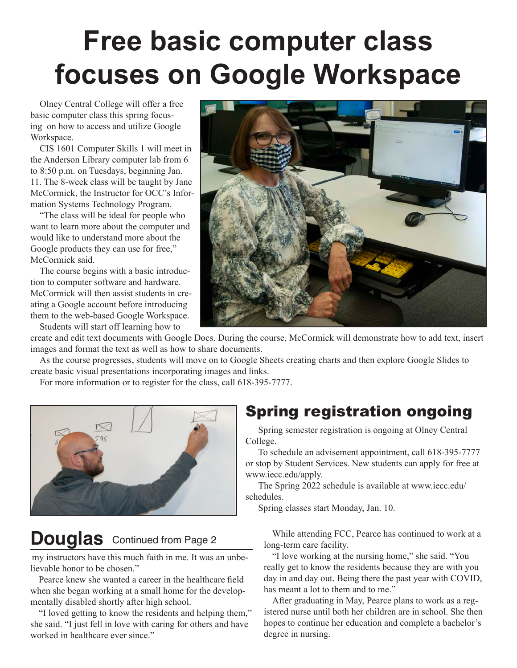## **Free basic computer class focuses on Google Workspace**

Olney Central College will offer a free basic computer class this spring focusing on how to access and utilize Google Workspace.

CIS 1601 Computer Skills 1 will meet in the Anderson Library computer lab from 6 to 8:50 p.m. on Tuesdays, beginning Jan. 11. The 8-week class will be taught by Jane McCormick, the Instructor for OCC's Information Systems Technology Program.

"The class will be ideal for people who want to learn more about the computer and would like to understand more about the Google products they can use for free," McCormick said.

The course begins with a basic introduction to computer software and hardware. McCormick will then assist students in creating a Google account before introducing them to the web-based Google Workspace.

Students will start off learning how to



create and edit text documents with Google Docs. During the course, McCormick will demonstrate how to add text, insert images and format the text as well as how to share documents.

As the course progresses, students will move on to Google Sheets creating charts and then explore Google Slides to create basic visual presentations incorporating images and links.

For more information or to register for the class, call 618-395-7777.



## **Douglas** Continued from Page 2

my instructors have this much faith in me. It was an unbelievable honor to be chosen."

Pearce knew she wanted a career in the healthcare field when she began working at a small home for the developmentally disabled shortly after high school.

"I loved getting to know the residents and helping them," she said. "I just fell in love with caring for others and have worked in healthcare ever since."

### Spring registration ongoing

Spring semester registration is ongoing at Olney Central College.

To schedule an advisement appointment, call 618-395-7777 or stop by Student Services. New students can apply for free at www.iecc.edu/apply.

The Spring 2022 schedule is available at www.iecc.edu/ schedules.

Spring classes start Monday, Jan. 10.

While attending FCC, Pearce has continued to work at a long-term care facility.

"I love working at the nursing home," she said. "You really get to know the residents because they are with you day in and day out. Being there the past year with COVID, has meant a lot to them and to me."

After graduating in May, Pearce plans to work as a registered nurse until both her children are in school. She then hopes to continue her education and complete a bachelor's degree in nursing.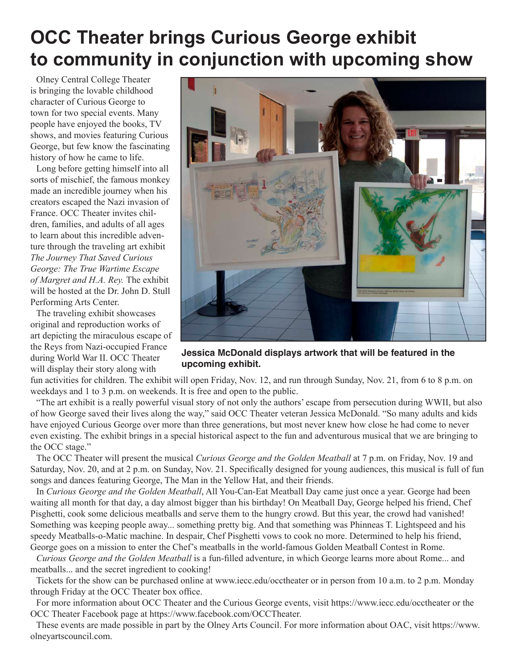## **OCC Theater brings Curious George exhibit to community in conjunction with upcoming show**

Olney Central College Theater is bringing the lovable childhood character of Curious George to town for two special events. Many people have enjoyed the books, TV shows, and movies featuring Curious George, but few know the fascinating history of how he came to life.

Long before getting himself into all sorts of mischief, the famous monkey made an incredible journey when his creators escaped the Nazi invasion of France. OCC Theater invites children, families, and adults of all ages to learn about this incredible adventure through the traveling art exhibit *The Journey That Saved Curious George: The True Wartime Escape of Margret and H.A. Rey.* The exhibit will be hosted at the Dr. John D. Stull Performing Arts Center.

The traveling exhibit showcases original and reproduction works of art depicting the miraculous escape of the Reys from Nazi-occupied France during World War II. OCC Theater will display their story along with



**Jessica McDonald displays artwork that will be featured in the upcoming exhibit.**

fun activities for children. The exhibit will open Friday, Nov. 12, and run through Sunday, Nov. 21, from 6 to 8 p.m. on weekdays and 1 to 3 p.m. on weekends. It is free and open to the public.

"The art exhibit is a really powerful visual story of not only the authors' escape from persecution during WWII, but also of how George saved their lives along the way," said OCC Theater veteran Jessica McDonald. "So many adults and kids have enjoyed Curious George over more than three generations, but most never knew how close he had come to never even existing. The exhibit brings in a special historical aspect to the fun and adventurous musical that we are bringing to the OCC stage."

The OCC Theater will present the musical *Curious George and the Golden Meatball* at 7 p.m. on Friday, Nov. 19 and Saturday, Nov. 20, and at 2 p.m. on Sunday, Nov. 21. Specifically designed for young audiences, this musical is full of fun songs and dances featuring George, The Man in the Yellow Hat, and their friends.

In *Curious George and the Golden Meatball*, All You-Can-Eat Meatball Day came just once a year. George had been waiting all month for that day, a day almost bigger than his birthday! On Meatball Day, George helped his friend, Chef Pisghetti, cook some delicious meatballs and serve them to the hungry crowd. But this year, the crowd had vanished! Something was keeping people away... something pretty big. And that something was Phinneas T. Lightspeed and his speedy Meatballs-o-Matic machine. In despair, Chef Pisghetti vows to cook no more. Determined to help his friend, George goes on a mission to enter the Chef's meatballs in the world-famous Golden Meatball Contest in Rome.

*Curious George and the Golden Meatball* is a fun-filled adventure, in which George learns more about Rome... and meatballs... and the secret ingredient to cooking!

Tickets for the show can be purchased online at www.iecc.edu/occtheater or in person from 10 a.m. to 2 p.m. Monday through Friday at the OCC Theater box office.

For more information about OCC Theater and the Curious George events, visit https://www.iecc.edu/occtheater or the OCC Theater Facebook page at https://www.facebook.com/OCCTheater.

These events are made possible in part by the Olney Arts Council. For more information about OAC, visit https://www. olneyartscouncil.com.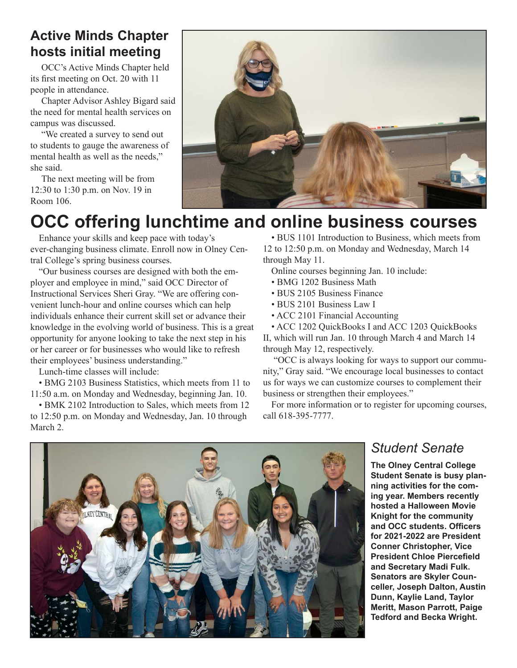#### **Active Minds Chapter hosts initial meeting**

OCC's Active Minds Chapter held its first meeting on Oct. 20 with 11 people in attendance.

Chapter Advisor Ashley Bigard said the need for mental health services on campus was discussed.

"We created a survey to send out to students to gauge the awareness of mental health as well as the needs," she said.

The next meeting will be from 12:30 to 1:30 p.m. on Nov. 19 in Room 106.



## **OCC offering lunchtime and online business courses**

Enhance your skills and keep pace with today's ever-changing business climate. Enroll now in Olney Central College's spring business courses.

"Our business courses are designed with both the employer and employee in mind," said OCC Director of Instructional Services Sheri Gray. "We are offering convenient lunch-hour and online courses which can help individuals enhance their current skill set or advance their knowledge in the evolving world of business. This is a great opportunity for anyone looking to take the next step in his or her career or for businesses who would like to refresh their employees' business understanding."

Lunch-time classes will include:

• BMG 2103 Business Statistics, which meets from 11 to 11:50 a.m. on Monday and Wednesday, beginning Jan. 10.

• BMK 2102 Introduction to Sales, which meets from 12 to 12:50 p.m. on Monday and Wednesday, Jan. 10 through March 2.

• BUS 1101 Introduction to Business, which meets from 12 to 12:50 p.m. on Monday and Wednesday, March 14 through May 11.

Online courses beginning Jan. 10 include:

- BMG 1202 Business Math
- BUS 2105 Business Finance
- BUS 2101 Business Law I
- ACC 2101 Financial Accounting

• ACC 1202 QuickBooks I and ACC 1203 QuickBooks II, which will run Jan. 10 through March 4 and March 14

through May 12, respectively.

 "OCC is always looking for ways to support our community," Gray said. "We encourage local businesses to contact us for ways we can customize courses to complement their business or strengthen their employees."

For more information or to register for upcoming courses, call 618-395-7777.



#### *Student Senate*

**The Olney Central College Student Senate is busy planning activities for the coming year. Members recently hosted a Halloween Movie Knight for the community and OCC students. Officers for 2021-2022 are President Conner Christopher, Vice President Chloe Piercefield and Secretary Madi Fulk. Senators are Skyler Counceller, Joseph Dalton, Austin Dunn, Kaylie Land, Taylor Meritt, Mason Parrott, Paige Tedford and Becka Wright.**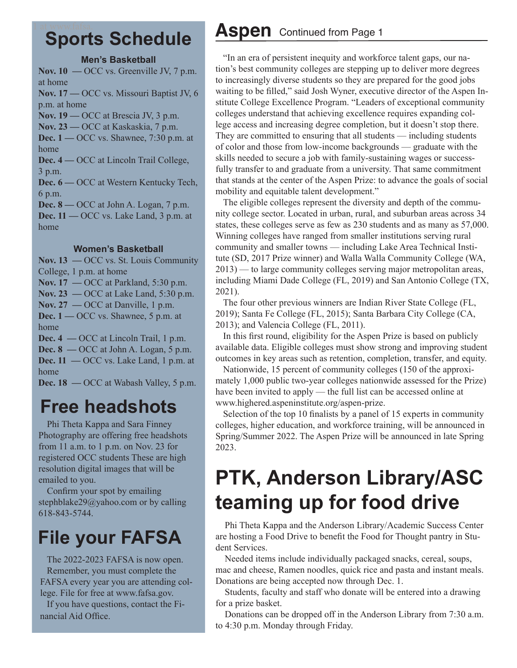#### 1 at www.fafsa. **Sports Schedule**

#### **Men's Basketball**

**Nov. 10 —** OCC vs. Greenville JV, 7 p.m. at home **Nov. 17 —** OCC vs. Missouri Baptist JV, 6 p.m. at home **Nov. 19 —** OCC at Brescia JV, 3 p.m. **Nov. 23 —** OCC at Kaskaskia, 7 p.m. **Dec. 1 —** OCC vs. Shawnee, 7:30 p.m. at home **Dec. 4 —** OCC at Lincoln Trail College, 3 p.m. **Dec. 6 —** OCC at Western Kentucky Tech, 6 p.m. **Dec. 8** — OCC at John A. Logan, 7 p.m. **Dec. 11 —** OCC vs. Lake Land, 3 p.m. at home

#### **Women's Basketball**

**Nov. 13 —** OCC vs. St. Louis Community College, 1 p.m. at home **Nov. 17 —** OCC at Parkland, 5:30 p.m. **Nov. 23 —** OCC at Lake Land, 5:30 p.m. **Nov. 27 —** OCC at Danville, 1 p.m. **Dec. 1** — OCC vs. Shawnee, 5 p.m. at home **Dec. 4 —** OCC at Lincoln Trail, 1 p.m. **Dec. 8** — OCC at John A. Logan, 5 p.m.

**Dec. 11 —** OCC vs. Lake Land, 1 p.m. at home

**Dec. 18** — OCC at Wabash Valley, 5 p.m.

## **Free headshots**

Phi Theta Kappa and Sara Finney Photography are offering free headshots from 11 a.m. to 1 p.m. on Nov. 23 for registered OCC students These are high resolution digital images that will be emailed to you.

Confirm your spot by emailing stephblake29@yahoo.com or by calling 618-843-5744.

## **File your FAFSA**

The 2022-2023 FAFSA is now open. Remember, you must complete the FAFSA every year you are attending college. File for free at www.fafsa.gov.

If you have questions, contact the Financial Aid Office.

#### **Aspen** Continued from Page 1

"In an era of persistent inequity and workforce talent gaps, our nation's best community colleges are stepping up to deliver more degrees to increasingly diverse students so they are prepared for the good jobs waiting to be filled," said Josh Wyner, executive director of the Aspen Institute College Excellence Program. "Leaders of exceptional community colleges understand that achieving excellence requires expanding college access and increasing degree completion, but it doesn't stop there. They are committed to ensuring that all students — including students of color and those from low-income backgrounds — graduate with the skills needed to secure a job with family-sustaining wages or successfully transfer to and graduate from a university. That same commitment that stands at the center of the Aspen Prize: to advance the goals of social mobility and equitable talent development."

The eligible colleges represent the diversity and depth of the community college sector. Located in urban, rural, and suburban areas across 34 states, these colleges serve as few as 230 students and as many as 57,000. Winning colleges have ranged from smaller institutions serving rural community and smaller towns — including Lake Area Technical Institute (SD, 2017 Prize winner) and Walla Walla Community College (WA, 2013) — to large community colleges serving major metropolitan areas, including Miami Dade College (FL, 2019) and San Antonio College (TX, 2021).

The four other previous winners are Indian River State College (FL, 2019); Santa Fe College (FL, 2015); Santa Barbara City College (CA, 2013); and Valencia College (FL, 2011).

In this first round, eligibility for the Aspen Prize is based on publicly available data. Eligible colleges must show strong and improving student outcomes in key areas such as retention, completion, transfer, and equity.

Nationwide, 15 percent of community colleges (150 of the approximately 1,000 public two-year colleges nationwide assessed for the Prize) have been invited to apply — the full list can be accessed online at www.highered.aspeninstitute.org/aspen-prize.

Selection of the top 10 finalists by a panel of 15 experts in community colleges, higher education, and workforce training, will be announced in Spring/Summer 2022. The Aspen Prize will be announced in late Spring 2023.

## **PTK, Anderson Library/ASC teaming up for food drive**

Phi Theta Kappa and the Anderson Library/Academic Success Center are hosting a Food Drive to benefit the Food for Thought pantry in Student Services.

Needed items include individually packaged snacks, cereal, soups, mac and cheese, Ramen noodles, quick rice and pasta and instant meals. Donations are being accepted now through Dec. 1.

Students, faculty and staff who donate will be entered into a drawing for a prize basket.

Donations can be dropped off in the Anderson Library from 7:30 a.m. to 4:30 p.m. Monday through Friday.